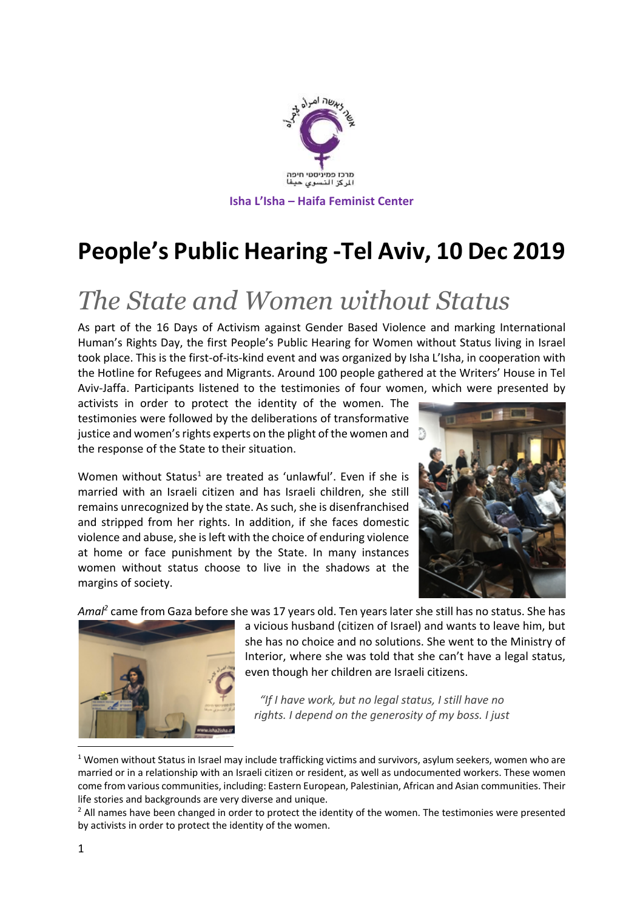

# **People's Public Hearing -Tel Aviv, 10 Dec 2019**

# *The State and Women without Status*

As part of the 16 Days of Activism against Gender Based Violence and marking International Human's Rights Day, the first People's Public Hearing for Women without Status living in Israel took place. This is the first-of-its-kind event and was organized by Isha L'Isha, in cooperation with the Hotline for Refugees and Migrants. Around 100 people gathered at the Writers' House in Tel Aviv-Jaffa. Participants listened to the testimonies of four women, which were presented by

activists in order to protect the identity of the women. The testimonies were followed by the deliberations of transformative justice and women's rights experts on the plight of the women and the response of the State to their situation.

Women without Status<sup>1</sup> are treated as 'unlawful'. Even if she is married with an Israeli citizen and has Israeli children, she still remains unrecognized by the state. As such, she is disenfranchised and stripped from her rights. In addition, if she faces domestic violence and abuse, she is left with the choice of enduring violence at home or face punishment by the State. In many instances women without status choose to live in the shadows at the margins of society.



*Amal2* came from Gaza before she was 17 years old. Ten years later she still has no status. She has



a vicious husband (citizen of Israel) and wants to leave him, but she has no choice and no solutions. She went to the Ministry of Interior, where she was told that she can't have a legal status, even though her children are Israeli citizens.

*"If I have work, but no legal status, I still have no rights. I depend on the generosity of my boss. I just* 

 $1$  Women without Status in Israel may include trafficking victims and survivors, asylum seekers, women who are married or in a relationship with an Israeli citizen or resident, as well as undocumented workers. These women come from various communities, including: Eastern European, Palestinian, African and Asian communities. Their life stories and backgrounds are very diverse and unique.

<sup>&</sup>lt;sup>2</sup> All names have been changed in order to protect the identity of the women. The testimonies were presented by activists in order to protect the identity of the women.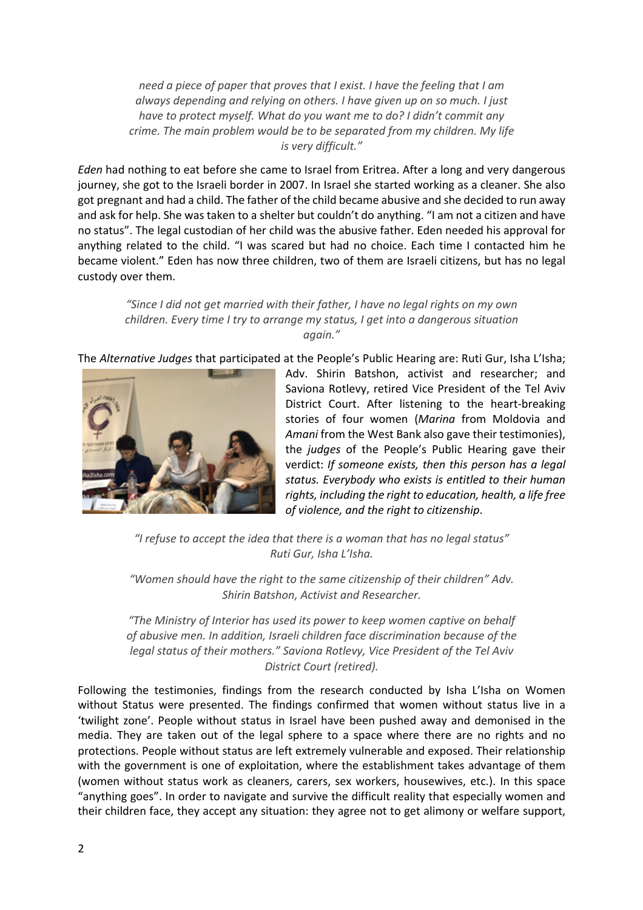*need a piece of paper that proves that I exist. I have the feeling that I am always depending and relying on others. I have given up on so much. I just have to protect myself. What do you want me to do? I didn't commit any crime. The main problem would be to be separated from my children. My life is very difficult."*

*Eden* had nothing to eat before she came to Israel from Eritrea. After a long and very dangerous journey, she got to the Israeli border in 2007. In Israel she started working as a cleaner. She also got pregnant and had a child. The father of the child became abusive and she decided to run away and ask for help. She was taken to a shelter but couldn't do anything. "I am not a citizen and have no status". The legal custodian of her child was the abusive father. Eden needed his approval for anything related to the child. "I was scared but had no choice. Each time I contacted him he became violent." Eden has now three children, two of them are Israeli citizens, but has no legal custody over them.

*"Since I did not get married with their father, I have no legal rights on my own children. Every time I try to arrange my status, I get into a dangerous situation again."*

The *Alternative Judges* that participated at the People's Public Hearing are: Ruti Gur, Isha L'Isha;



Adv. Shirin Batshon, activist and researcher; and Saviona Rotlevy, retired Vice President of the Tel Aviv District Court. After listening to the heart-breaking stories of four women (*Marina* from Moldovia and *Amani* from the West Bank also gave their testimonies), the *judges* of the People's Public Hearing gave their verdict: *If someone exists, then this person has a legal status. Everybody who exists is entitled to their human rights, including the right to education, health, a life free of violence, and the right to citizenship*.

*"I refuse to accept the idea that there is a woman that has no legal status" Ruti Gur, Isha L'Isha.*

*"Women should have the right to the same citizenship of their children" Adv. Shirin Batshon, Activist and Researcher.* 

*"The Ministry of Interior has used its power to keep women captive on behalf of abusive men. In addition, Israeli children face discrimination because of the legal status of their mothers." Saviona Rotlevy, Vice President of the Tel Aviv District Court (retired).*

Following the testimonies, findings from the research conducted by Isha L'Isha on Women without Status were presented. The findings confirmed that women without status live in a 'twilight zone'. People without status in Israel have been pushed away and demonised in the media. They are taken out of the legal sphere to a space where there are no rights and no protections. People without status are left extremely vulnerable and exposed. Their relationship with the government is one of exploitation, where the establishment takes advantage of them (women without status work as cleaners, carers, sex workers, housewives, etc.). In this space "anything goes". In order to navigate and survive the difficult reality that especially women and their children face, they accept any situation: they agree not to get alimony or welfare support,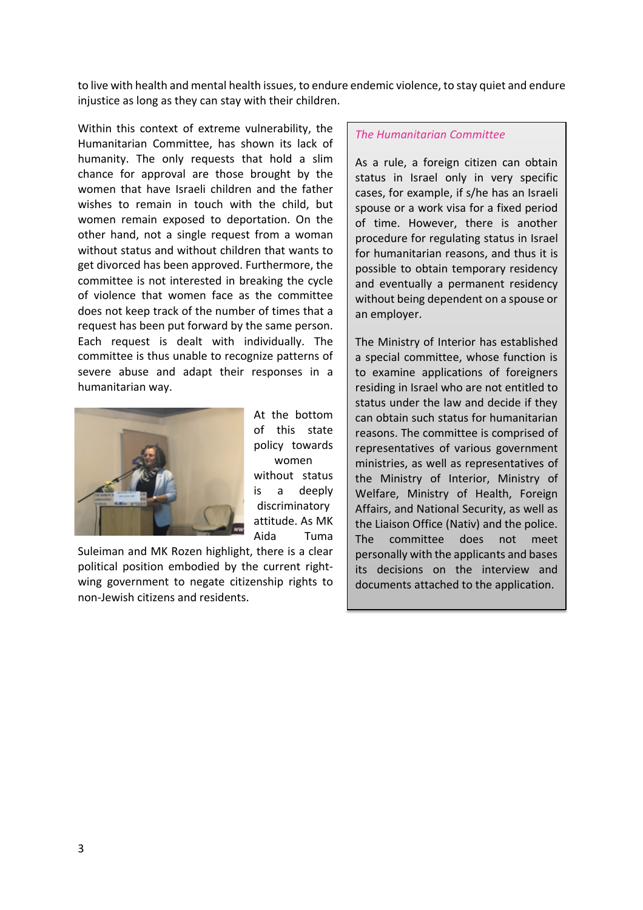to live with health and mental health issues, to endure endemic violence, to stay quiet and endure injustice as long as they can stay with their children.

> At the bottom of this state policy towards women without status is a deeply discriminatory attitude. As MK

Within this context of extreme vulnerability, the Humanitarian Committee, has shown its lack of humanity. The only requests that hold a slim chance for approval are those brought by the women that have Israeli children and the father wishes to remain in touch with the child, but women remain exposed to deportation. On the other hand, not a single request from a woman without status and without children that wants to get divorced has been approved. Furthermore, the committee is not interested in breaking the cycle of violence that women face as the committee does not keep track of the number of times that a request has been put forward by the same person. Each request is dealt with individually. The committee is thus unable to recognize patterns of severe abuse and adapt their responses in a humanitarian way.



Aida Tuma Suleiman and MK Rozen highlight, there is a clear political position embodied by the current rightwing government to negate citizenship rights to non-Jewish citizens and residents.

#### *The Humanitarian Committee*

As a rule, a foreign citizen can obtain status in Israel only in very specific cases, for example, if s/he has an Israeli spouse or a work visa for a fixed period of time. However, there is another procedure for regulating status in Israel for humanitarian reasons, and thus it is possible to obtain temporary residency and eventually a permanent residency without being dependent on a spouse or an employer.

The Ministry of Interior has established a special committee, whose function is to examine applications of foreigners residing in Israel who are not entitled to status under the law and decide if they can obtain such status for humanitarian reasons. The committee is comprised of representatives of various government ministries, as well as representatives of the Ministry of Interior, Ministry of Welfare, Ministry of Health, Foreign Affairs, and National Security, as well as the Liaison Office (Nativ) and the police. The committee does not meet personally with the applicants and bases its decisions on the interview and documents attached to the application.